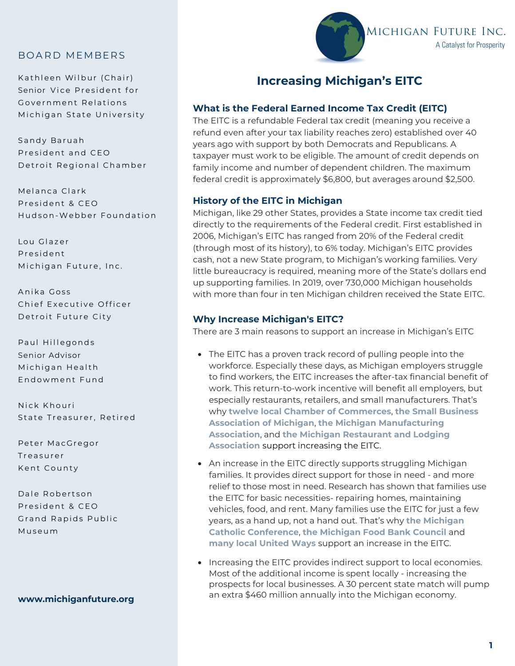# BOARD MEMBERS

Kathleen Wilbur (Chair) Senior Vice President for Government Relations Michigan State University

Sandy Baruah President and CEO Detroit Regional Chamber

Melanca Clark President & CEO Hudson-Webber Foundation

Lou Glazer P r e s ident Michigan Future, Inc.

Anika Goss Chief Executive Officer Detroit Future City

Paul Hillegonds Senior Advisor Michigan Health Endo w ment Fund

Nick Khouri State Treasurer, Retired

Peter MacGregor **Treasurer** Kent County

Dale Robertson President & CEO Grand Rapids Public M us eum

#### **www.michiganfuture.org**



# **Increasing Michigan's EITC**

### **What is the Federal Earned Income Tax Credit (EITC)**

The EITC is a refundable Federal tax credit (meaning you receive a refund even after your tax liability reaches zero) established over 40 years ago with support by both Democrats and Republicans. A taxpayer must work to be eligible. The amount of credit depends on family income and number of dependent children. The maximum federal credit is approximately \$6,800, but averages around \$2,500.

### **History of the EITC in Michigan**

Michigan, like 29 other States, provides a State income tax credit tied directly to the requirements of the Federal credit. First established in 2006, Michigan's EITC has ranged from 20% of the Federal credit (through most of its history), to 6% today. Michigan's EITC provides cash, not a new State program, to Michigan's working families. Very little bureaucracy is required, meaning more of the State's dollars end up supporting families. In 2019, over 730,000 Michigan households with more than four in ten Michigan children received the State EITC.

#### **Why Increase Michigan's EITC?**

There are 3 main reasons to support an increase in Michigan's EITC

- The EITC has a proven track record of pulling people into the workforce. Especially these days, as Michigan employers struggle to find workers, the EITC increases the after-tax financial benefit of work. This return-to-work incentive will benefit all employers, but especially restaurants, retailers, and small manufacturers. That's why **twelve local Chamber of Commerces**, **the Small Business Association of Michigan**, **the Michigan Manufacturing Association**, and **the Michigan Restaurant and Lodging Association** support increasing the EITC.
- An increase in the EITC directly supports struggling Michigan families. It provides direct support for those in need - and more relief to those most in need. Research has shown that families use the EITC for basic necessities- repairing homes, maintaining vehicles, food, and rent. Many families use the EITC for just a few years, as a hand up, not a hand out. That's why **the Michigan Catholic Conference**, **the Michigan Food Bank Council** and **many local United Ways** support an increase in the EITC.
- Increasing the EITC provides indirect support to local economies. Most of the additional income is spent locally - increasing the prospects for local businesses. A 30 percent state match will pump an extra \$460 million annually into the Michigan economy.